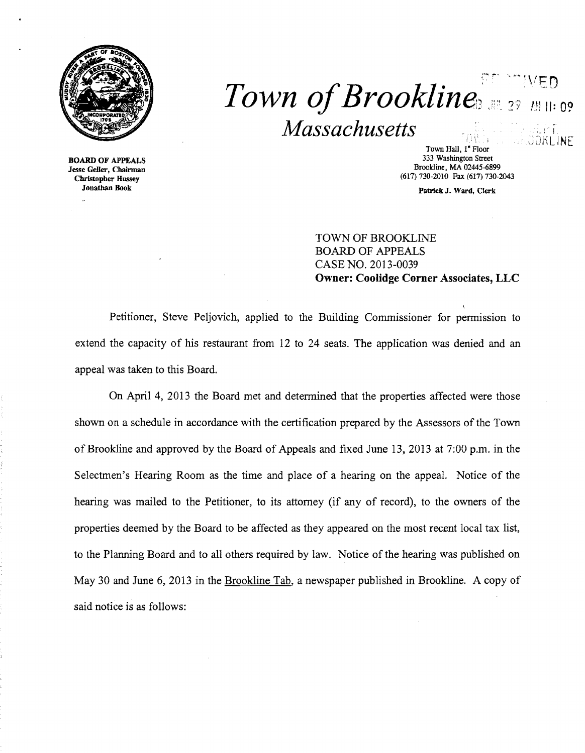

## -- **Town of Brookline** *Massachusetts*   $\mathbb{R}$ iti $\mathbb{R}$ OKLINE

BOARD OF APPEALS Jesse Geller, Chairman Christopher Hussey Jonathan Book

Town Hall, 1" Floor 333 Washington Street Brookline, MA 02445-6899 (617) 730-2010 Fax (617) 730-2043

Patrick J. Ward, Clerk

TOWN OF BROOKLINE BOARD OF APPEALS CASE NO. 2013-0039 Owner: Coolidge Corner Associates, LLC

Petitioner, Steve Peljovich, applied to the Building Commissioner for permission to extend the capacity of his restaurant from 12 to 24 seats. The application was denied and an appeal was taken to this Board.

On April 4, 2013 the Board met and determined that the properties affected were those shown on a schedule in accordance with the certification prepared by the Assessors of the Town of Brookline and approved by the Board of Appeals and fixed June 13, 2013 at 7:00 p.m. in the Selectmen's Hearing Room as the time and place of a hearing on the appeal. Notice of the hearing was mailed to the Petitioner, to its attorney (if any of record), to the owners of the properties deemed by the Board to be affected as they appeared on the most recent local tax list, to the Planning Board and to all others required by law. Notice of the hearing was published on May 30 and June 6, 2013 in the Brookline Tab, a newspaper published in Brookline. A copy of said notice is as follows: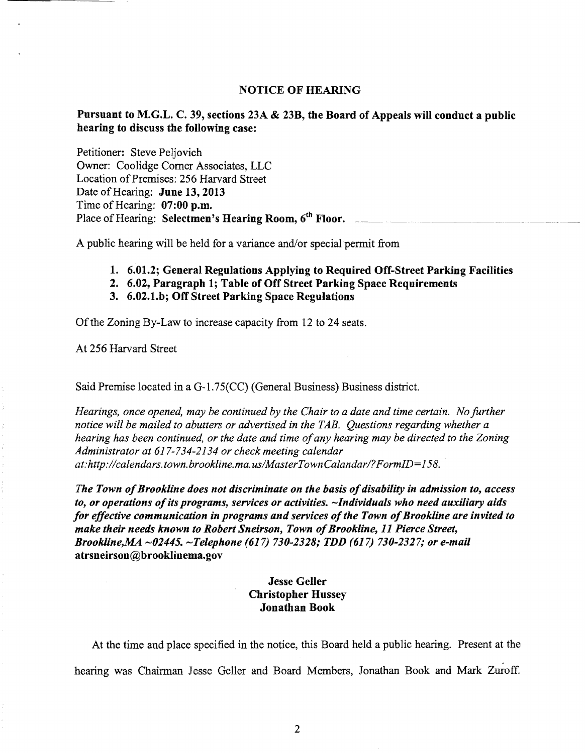#### NOTICE OF HEARING

### Pursuant to M.G.L. C. 39, sections 23A & 23B, the Board of Appeals will conduct a public hearing to discuss the following case:

Petitioner: Steve Peljovich Owner: Coolidge Corner Associates, LLC Location of Premises: 256 Harvard Street Date of Hearing: June 13, 2013 Time of Hearing:  $07:00$  p.m. Place of Hearing: Selectmen's Hearing Room, 6<sup>th</sup> Floor.

A public hearing will be held for a variance and/or special permit from

- 1. 6.01.2; General Regulations Applying to Required Off-Street Parking Facilities
- 2. 6.02, Paragraph 1; Table of Off Street Parking Space Requirements
- 3. 6.02.1.b; Off Street Parking Space Regulations

Of the Zoning By-Law to increase capacity from 12 to 24 seats.

At 256 Harvard Street

Said Premise located in a G-1.75(CC) (General Business) Business district.

*Hearings, once opened, may be continued by the Chair to a date and time certain. No further notice will be mailed to abutters or advertised in the TAB. Questions regarding whether a hearing has been continued, or the date and time ofany hearing may be directed to the Zoning Administrator at* 617-734-2134 *or check meeting calendar at:http://calendars.town.brookline.ma.usIMasterTownCalandarl?FormID=158.* 

The Town of Brookline does not discriminate on the basis of disability in admission to, access to, or operations of its programs, services or activities. ~Individuals who need auxiliary aids for effective communication in programs and services of the Town of Brookline are invited to *make their needs known to Robert Sneirson, Town of Brookline, 11 Pierce Street, Brookline,MA -01445. -Telephone* (617) *730-1318; TDD* (617) *730-1317; or e-mail*  atrsneirson@brooklinema.gov

### Jesse Geller Christopher Hussey Jonathan Book

At the time and place specified in the notice, this Board held a public hearing. Present at the hearing was Chairman Jesse Geller and Board Members, Jonathan Book and Mark Zuroff.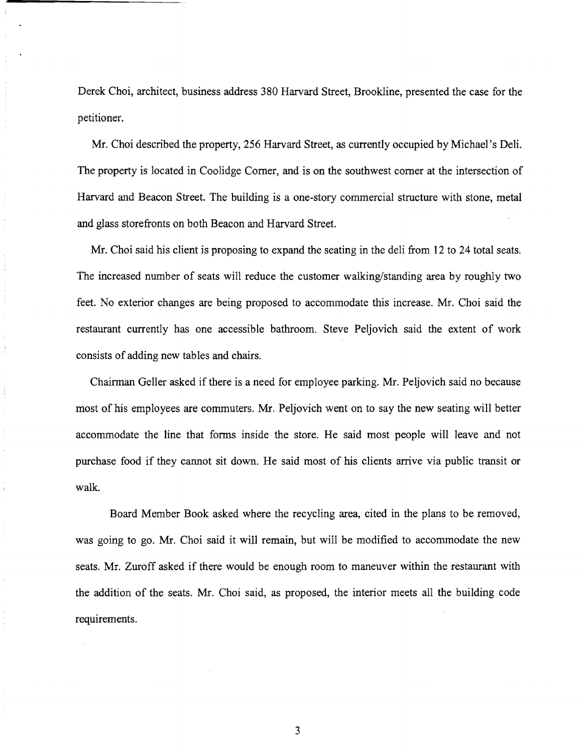Derek Choi, architect, business address 380 Harvard Street, Brookline, presented the case for the petitioner.

Mr. Choi described the property, 256 Harvard Street, as currently occupied by Michael's Deli. The property is located in Coolidge Comer, and is on the southwest comer at the intersection of Harvard and Beacon Street. The building is a one-story commercial structure with stone, metal and glass storefronts on both Beacon and Harvard Street.

Mr. Choi said his client is proposing to expand the seating in the deli from 12 to 24 total seats. The increased number of seats will reduce the customer walking/standing area by roughly two feet. No exterior changes are being proposed to accommodate this increase. Mr. Choi said the restaurant currently has one accessible bathroom. Steve Peljovich said the extent of work consists of adding new tables and chairs.

Chairman Geller asked if there is a need for employee parking. Mr. Peljovich said no because most of his employees are commuters. Mr. Peljovich went on to say the new seating will better accommodate the line that forms inside the store. He said most people will leave and not purchase food if they cannot sit down. He said most of his clients arrive via public transit or walk.

Board Member Book asked where the recycling area, cited in the plans to be removed, was going to go. Mr. Choi said it will remain, but will be modified to accommodate the new seats. Mr. Zuroff asked if there would be enough room to maneuver within the restaurant with the addition of the seats. Mr. Choi said, as proposed, the interior meets all the building code requirements.

3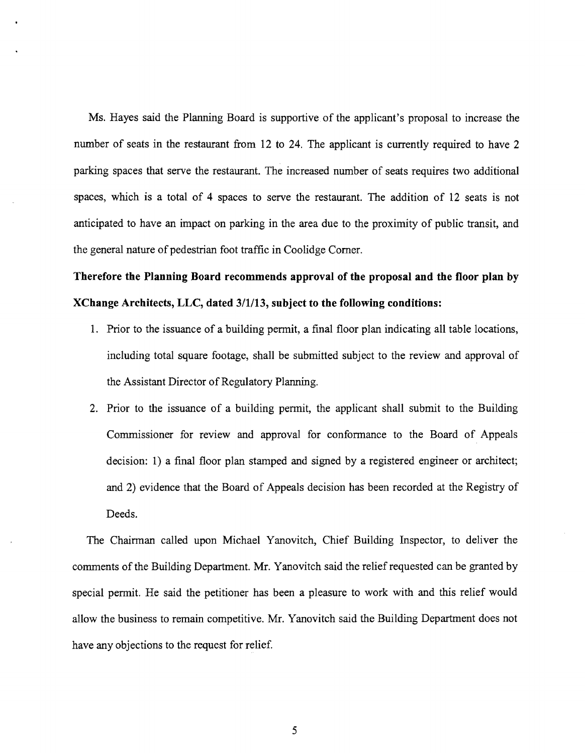Ms. Hayes said the Planning Board is supportive of the applicant's proposal to increase the number of seats in the restaurant from 12 to 24. The applicant is currently required to have 2 parking spaces that serve the restaurant. The increased number of seats requires two additional spaces, which is a total of 4 spaces to serve the restaurant. The addition of 12 seats is not anticipated to have an impact on parking in the area due to the proximity of public transit, and the general nature of pedestrian foot traffic in Coolidge Comer.

# **Therefore the Planning Board recommends approval of the proposal and the floor plan** by **XChange Architects,** LLC, **dated** *3/1113,* **subject to the following conditions:**

- 1. Prior to the issuance of a building permit, a final floor plan indicating all table locations, including total square footage, shall be submitted subject to the review and approval of the Assistant Director of Regulatory Planning.
- 2. Prior to the issuance of a building permit, the applicant shall submit to the Building Commissioner for review and approval for confonnance to the Board of Appeals decision: 1) a final floor plan stamped and signed by a registered engineer or architect; and 2) evidence that the Board of Appeals decision has been recorded at the Registry of Deeds.

The Chairman called upon Michael Yanovitch, Chief Building Inspector, to deliver the comments of the Building Department. Mr. Yanovitch said the relief requested can be granted by special pennit. He said the petitioner has been a pleasure to work with and this relief would allow the business to remain competitive. Mr. Yanovitch said the Building Department does not have any objections to the request for relief.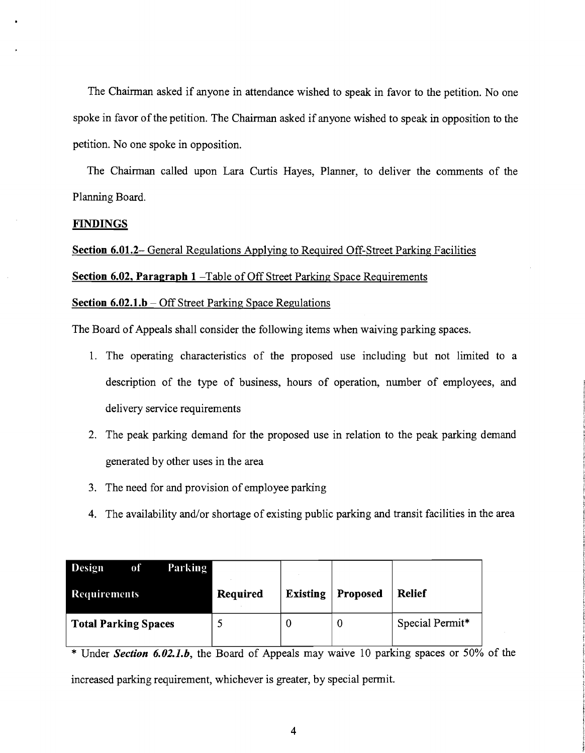The Chairman asked if anyone in attendance wished to speak in favor to the petition. No one spoke in favor of the petition. The Chairman asked if anyone wished to speak in opposition to the petition. No one spoke in opposition.

The Chairman called upon Lara Curtis Hayes, Planner, to deliver the comments of the Planning Board.

#### **FINDINGS**

Section 6.01.2- General Regulations Applying to Required Off-Street Parking Facilities Section 6.02, Paragraph 1 - Table of Off Street Parking Space Requirements

#### **Section 6.02.1.b** – Off Street Parking Space Regulations

The Board of Appeals shall consider the following items when waiving parking spaces.

- 1. The operating characteristics of the proposed use including but not limited to a description of the type of business, hours of operation, number of employees, and delivery service requirements
- 2. The peak parking demand for the proposed use in relation to the peak parking demand generated by other uses in the area
- 3. The need for and provision of employee parking
- 4. The availability and/or shortage of existing public parking and transit facilities in the area

| <b>Design</b><br>of         | Parking |          |                 |          |                 |
|-----------------------------|---------|----------|-----------------|----------|-----------------|
| <b>Requirements</b>         |         | Required | <b>Existing</b> | Proposed | <b>Relief</b>   |
| <b>Total Parking Spaces</b> |         |          |                 |          | Special Permit* |

\* Under *Section 6.02.1.b,* the Board of Appeals may waive 10 parking spaces or 50% of the increased parking requirement, whichever is greater, by special permit.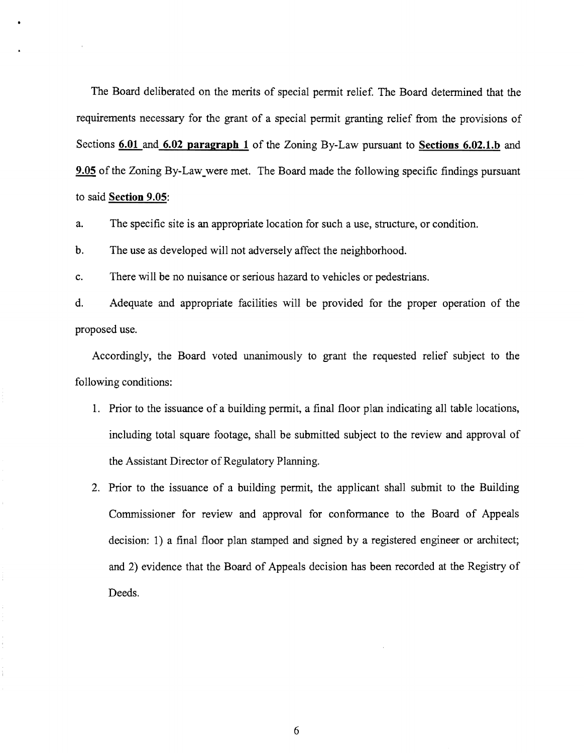The Board deliberated on the merits of special permit relief. The Board determined that the requirements necessary for the grant of a special permit granting relief from the provisions of Sections **6.01 and 6.02 paragraph 1** of the Zoning By-Law pursuant to **Sections 6.02.1.b** and **9.05** of the Zoning By-Law\_were met. The Board made the following specific findings pursuant to said **Section 9.05:** 

a. The specific site is an appropriate location for such a use, structure, or condition.

b. The use as developed will not adversely affect the neighborhood.

c. There will be no nuisance or serious hazard to vehicles or pedestrians.

d. Adequate and appropriate facilities will be provided for the proper operation of the proposed use.

Accordingly, the Board voted unanimously to grant the requested relief subject to the following conditions:

- 1. Prior to the issuance of a building permit, a final floor plan indicating all table locations, including total square footage, shall be submitted subject to the review and approval of the Assistant Director of Regulatory Planning.
- 2. Prior to the issuance of a building permit, the applicant shall submit to the Building Commissioner for review and approval for conformance to the Board of Appeals decision: 1) a final floor plan stamped and signed by a registered engineer or architect; and 2) evidence that the Board of Appeals decision has been recorded at the Registry of Deeds.